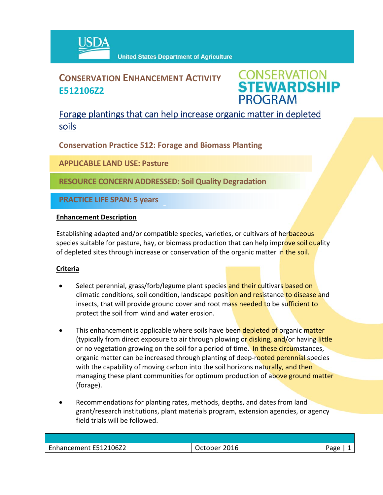

# **CONSERVATION ENHANCEMENT ACTIVITY E512106Z2**



## Forage plantings that can help increase organic matter in depleted soils

**Conservation Practice 512: Forage and Biomass Planting**

**APPLICABLE LAND USE: Pasture**

**RESOURCE CONCERN ADDRESSED: Soil Quality Degradation**

 $\hat{a}$ 

**PRACTICE LIFE SPAN: 5 years**

### **Enhancement Description**

Establishing adapted and/or compatible species, varieties, or cultivars of herbaceous species suitable for pasture, hay, or biomass production that can help improve soil quality of depleted sites through increase or conservation of the organic matter in the soil.

### **Criteria**

- Select perennial, grass/forb/legume plant species and their cultivars based on climatic conditions, soil condition, landscape position and resistance to disease and insects, that will provide ground cover and root mass needed to be sufficient to protect the soil from wind and water erosion.
- This enhancement is applicable where soils have been depleted of organic matter (typically from direct exposure to air through plowing or disking, and/or having little or no vegetation growing on the soil for a period of time. In these circumstances, organic matter can be increased through planting of deep-rooted perennial species with the capability of moving carbon into the soil horizons naturally, and then managing these plant communities for optimum production of above ground matter (forage).
- Recommendations for planting rates, methods, depths, and dates from land grant/research institutions, plant materials program, extension agencies, or agency field trials will be followed.

| Enhancement E512106Z2 | 2016<br>October | חמר |
|-----------------------|-----------------|-----|
|                       |                 |     |